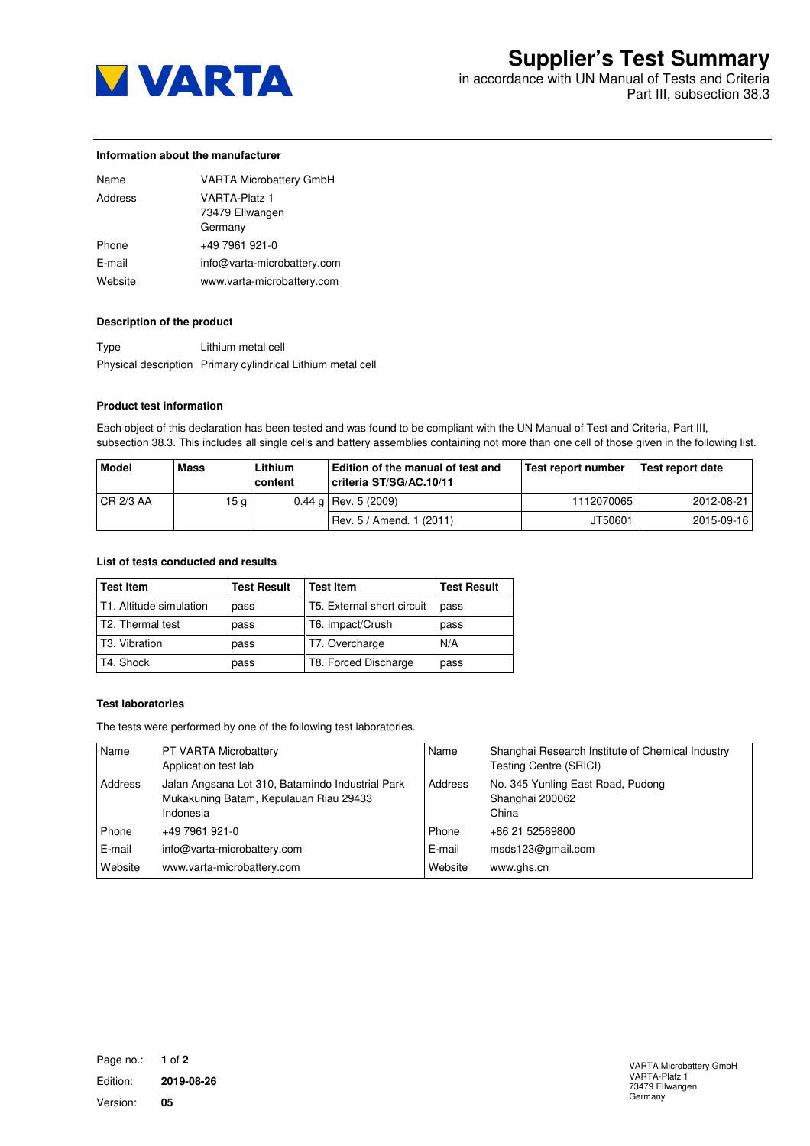

in accordance with UN Manual of Tests and Criteria Part III, subsection 38.3

#### **Information about the manufacturer**

| Name    | <b>VARTA Microbattery GmbH</b>                     |
|---------|----------------------------------------------------|
| Address | <b>VARTA-Platz 1</b><br>73479 Ellwangen<br>Germany |
| Phone   | +49 7961 921-0                                     |
| E-mail  | info@varta-microbattery.com                        |
| Website | www.varta-microbattery.com                         |

# **Description of the product**

Type Lithium metal cell Physical description Primary cylindrical Lithium metal cell

#### **Product test information**

Each object of this declaration has been tested and was found to be compliant with the UN Manual of Test and Criteria, Part III, subsection 38.3. This includes all single cells and battery assemblies containing not more than one cell of those given in the following list.

| Model            | <b>Mass</b> | Lithium<br>content | Edition of the manual of test and<br>criteria ST/SG/AC.10/11 | Test report number | l Test report date |
|------------------|-------------|--------------------|--------------------------------------------------------------|--------------------|--------------------|
| <b>CR 2/3 AA</b> | 15 g        |                    | $0.44$ g Rev. 5 (2009)                                       | 1112070065         | 2012-08-21         |
|                  |             |                    | Rev. 5 / Amend. 1 (2011)                                     | JT50601            | 2015-09-16         |

## **List of tests conducted and results**

| <b>Test Item</b>           | <b>Test Result</b> | <b>Test Item</b>           | <b>Test Result</b> |
|----------------------------|--------------------|----------------------------|--------------------|
| T1. Altitude simulation    | pass               | T5. External short circuit | pass               |
| T2. Thermal test           | pass               | T6. Impact/Crush           | pass               |
| T <sub>3</sub> . Vibration | pass               | T7. Overcharge             | N/A                |
| T4. Shock                  | pass               | T8. Forced Discharge       | pass               |

# **Test laboratories**

The tests were performed by one of the following test laboratories.

| Name    | PT VARTA Microbattery<br>Application test lab                                                           | Name    | Shanghai Research Institute of Chemical Industry<br>Testing Centre (SRICI) |
|---------|---------------------------------------------------------------------------------------------------------|---------|----------------------------------------------------------------------------|
| Address | Jalan Angsana Lot 310, Batamindo Industrial Park<br>Mukakuning Batam, Kepulauan Riau 29433<br>Indonesia | Address | No. 345 Yunling East Road, Pudong<br>Shanghai 200062<br>China              |
| Phone   | +49 7961 921-0                                                                                          | Phone   | +86 21 52569800                                                            |
| E-mail  | info@varta-microbattery.com                                                                             | E-mail  | msds123@gmail.com                                                          |
| Website | www.varta-microbattery.com                                                                              | Website | www.ghs.cn                                                                 |